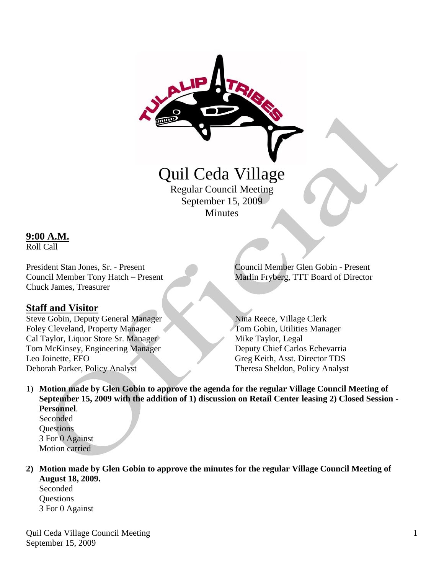

# Quil Ceda Village

Regular Council Meeting September 15, 2009 Minutes

## **9:00 A.M.**

Roll Call

Chuck James, Treasurer

## **Staff and Visitor**

Steve Gobin, Deputy General Manager Nina Reece, Village Clerk Foley Cleveland, Property Manager Tom Gobin, Utilities Manager Cal Taylor, Liquor Store Sr. Manager Mike Taylor, Legal Tom McKinsey, Engineering Manager Deputy Chief Carlos Echevarria Leo Joinette, EFO Greg Keith, Asst. Director TDS Deborah Parker, Policy Analyst Theresa Sheldon, Policy Analyst

President Stan Jones, Sr. - Present Council Member Glen Gobin - Present Council Member Tony Hatch – Present Marlin Fryberg, TTT Board of Director

1) **Motion made by Glen Gobin to approve the agenda for the regular Village Council Meeting of September 15, 2009 with the addition of 1) discussion on Retail Center leasing 2) Closed Session - Personnel**.

Seconded **Questions** 3 For 0 Against Motion carried

**2) Motion made by Glen Gobin to approve the minutes for the regular Village Council Meeting of August 18, 2009.**

Seconded Questions 3 For 0 Against

Quil Ceda Village Council Meeting September 15, 2009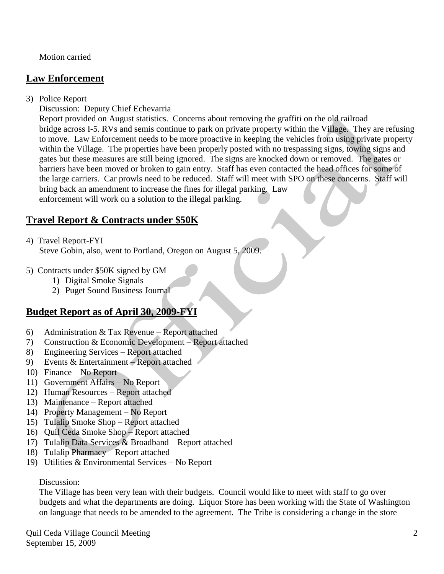Motion carried

## **Law Enforcement**

3) Police Report

Discussion: Deputy Chief Echevarria

 Report provided on August statistics. Concerns about removing the graffiti on the old railroad bridge across I-5. RVs and semis continue to park on private property within the Village. They are refusing to move. Law Enforcement needs to be more proactive in keeping the vehicles from using private property within the Village. The properties have been properly posted with no trespassing signs, towing signs and gates but these measures are still being ignored. The signs are knocked down or removed. The gates or barriers have been moved or broken to gain entry. Staff has even contacted the head offices for some of the large carriers. Car prowls need to be reduced. Staff will meet with SPO on these concerns. Staff will bring back an amendment to increase the fines for illegal parking. Law enforcement will work on a solution to the illegal parking.

# **Travel Report & Contracts under \$50K**

4) Travel Report-FYI

Steve Gobin, also, went to Portland, Oregon on August 5, 2009.

- 5) Contracts under \$50K signed by GM
	- 1) Digital Smoke Signals
	- 2) Puget Sound Business Journal

# **Budget Report as of April 30, 2009-FYI**

- 6) Administration & Tax Revenue Report attached
- 7) Construction & Economic Development Report attached
- 8) Engineering Services Report attached
- 9) Events & Entertainment Report attached
- 10) Finance No Report
- 11) Government Affairs No Report
- 12) Human Resources Report attached
- 13) Maintenance Report attached
- 14) Property Management No Report
- 15) Tulalip Smoke Shop Report attached
- 16) Quil Ceda Smoke Shop Report attached
- 17) Tulalip Data Services & Broadband Report attached
- 18) Tulalip Pharmacy Report attached
- 19) Utilities & Environmental Services No Report

## Discussion:

 The Village has been very lean with their budgets. Council would like to meet with staff to go over budgets and what the departments are doing. Liquor Store has been working with the State of Washington on language that needs to be amended to the agreement. The Tribe is considering a change in the store